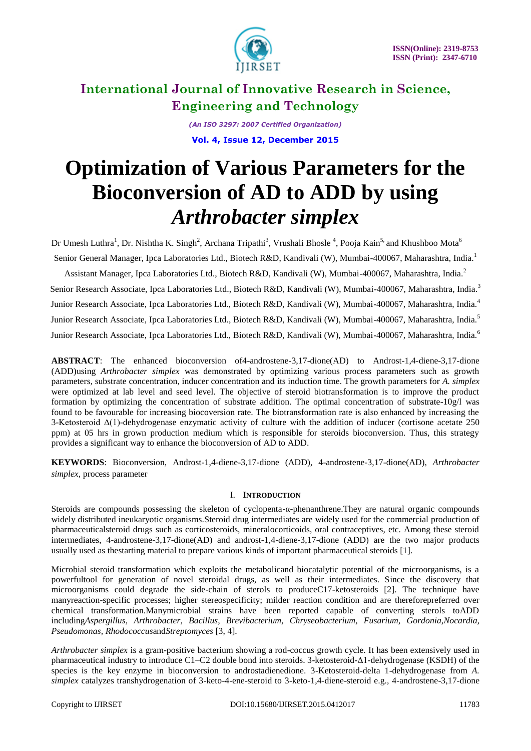

*(An ISO 3297: 2007 Certified Organization)* **Vol. 4, Issue 12, December 2015**

# **Optimization of Various Parameters for the Bioconversion of AD to ADD by using**  *Arthrobacter simplex*

Dr Umesh Luthra<sup>1</sup>, Dr. Nishtha K. Singh<sup>2</sup>, Archana Tripathi<sup>3</sup>, Vrushali Bhosle<sup>4</sup>, Pooja Kain<sup>5,</sup> and Khushboo Mota<sup>6</sup> Senior General Manager, Ipca Laboratories Ltd., Biotech R&D, Kandivali (W), Mumbai-400067, Maharashtra, India.<sup>1</sup> Assistant Manager, Ipca Laboratories Ltd., Biotech R&D, Kandivali (W), Mumbai-400067, Maharashtra, India.<sup>2</sup> Senior Research Associate, Ipca Laboratories Ltd., Biotech R&D, Kandivali (W), Mumbai-400067, Maharashtra, India.<sup>3</sup> Junior Research Associate, Ipca Laboratories Ltd., Biotech R&D, Kandivali (W), Mumbai-400067, Maharashtra, India.<sup>4</sup> Junior Research Associate, Ipca Laboratories Ltd., Biotech R&D, Kandivali (W), Mumbai-400067, Maharashtra, India.<sup>5</sup> Junior Research Associate, Ipca Laboratories Ltd., Biotech R&D, Kandivali (W), Mumbai-400067, Maharashtra, India.<sup>6</sup>

**ABSTRACT**: The enhanced bioconversion of4-androstene-3,17-dione(AD) to Androst-1,4-diene-3,17-dione (ADD)using *Arthrobacter simplex* was demonstrated by optimizing various process parameters such as growth parameters, substrate concentration, inducer concentration and its induction time. The growth parameters for *A. simplex* were optimized at lab level and seed level. The objective of steroid biotransformation is to improve the product formation by optimizing the concentration of substrate addition. The optimal concentration of substrate-10g/l was found to be favourable for increasing biocoversion rate. The biotransformation rate is also enhanced by increasing the 3-Ketosteroid  $\Delta(1)$ -dehydrogenase enzymatic activity of culture with the addition of inducer (cortisone acetate 250 ppm) at 05 hrs in grown production medium which is responsible for steroids bioconversion. Thus, this strategy provides a significant way to enhance the bioconversion of AD to ADD.

**KEYWORDS**: Bioconversion, Androst-1,4-diene-3,17-dione (ADD), 4-androstene-3,17-dione(AD), *Arthrobacter simplex,* process parameter

### I. **INTRODUCTION**

Steroids are compounds possessing the skeleton of cyclopenta-α-phenanthrene.They are natural organic compounds widely distributed ineukaryotic organisms.Steroid drug intermediates are widely used for the commercial production of pharmaceuticalsteroid drugs such as corticosteroids, mineralocorticoids, oral contraceptives, etc. Among these steroid intermediates, 4-androstene-3,17-dione(AD) and androst-1,4-diene-3,17-dione (ADD) are the two major products usually used as thestarting material to prepare various kinds of important pharmaceutical steroids [1].

Microbial steroid transformation which exploits the metabolicand biocatalytic potential of the microorganisms, is a powerfultool for generation of novel steroidal drugs, as well as their intermediates. Since the discovery that microorganisms could degrade the side-chain of sterols to produceC17-ketosteroids [2]. The technique have manyreaction-specific processes; higher stereospecificity; milder reaction condition and are thereforepreferred over chemical transformation.Manymicrobial strains have been reported capable of converting sterols toADD including*Aspergillus, Arthrobacter, Bacillus, Brevibacterium, Chryseobacterium, Fusarium, Gordonia,Nocardia, Pseudomonas, Rhodococcus*and*Streptomyces* [3, 4].

*Arthrobacter simplex* is a gram-positive bacterium showing a rod-coccus growth cycle. It has been extensively used in pharmaceutical industry to introduce C1–C2 double bond into steroids. 3-ketosteroid-Δ1-dehydrogenase (KSDH) of the species is the key enzyme in bioconversion to androstadienedione. 3-Ketosteroid-delta 1-dehydrogenase from *A. simplex* catalyzes transhydrogenation of 3-keto-4-ene-steroid to 3-keto-1,4-diene-steroid e.g., 4-androstene-3,17-dione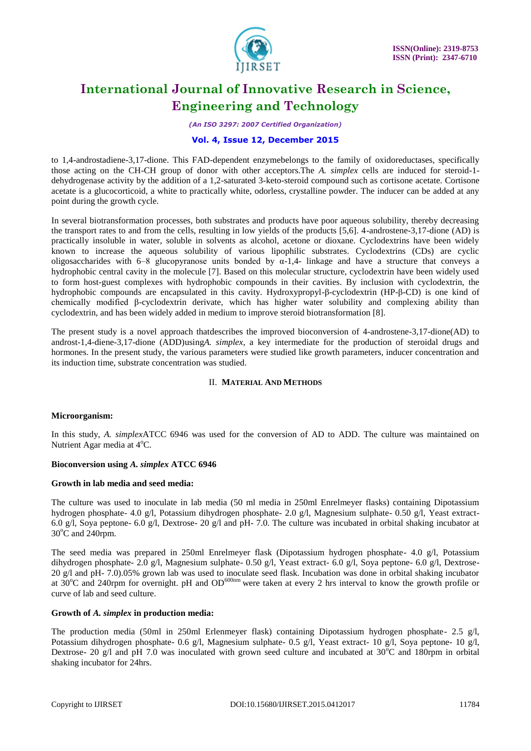

*(An ISO 3297: 2007 Certified Organization)*

### **Vol. 4, Issue 12, December 2015**

to 1,4-androstadiene-3,17-dione. This FAD-dependent enzymebelongs to the family of [oxidoreductases,](https://en.wikipedia.org/wiki/Oxidoreductase) specifically those acting on the CH-CH group of donor with other acceptors.The *A. simplex* cells are induced for steroid-1 dehydrogenase activity by the addition of a 1,2-saturated 3-keto-steroid compound such as cortisone acetate. Cortisone acetate is a [glucocorticoid,](http://www.rxlist.com/script/main/art.asp?articlekey=3609) a white to practically white, odorless, crystalline powder. The inducer can be added at any point during the growth cycle.

In several biotransformation processes, both substrates and products have poor aqueous solubility, thereby decreasing the transport rates to and from the cells, resulting in low yields of the products [5,6]. 4-androstene-3,17-dione (AD) is practically insoluble in water, soluble in solvents as alcohol, acetone or dioxane. Cyclodextrins have been widely known to increase the aqueous solubility of various lipophilic substrates. Cyclodextrins (CDs) are cyclic oligosaccharides with 6–8 glucopyranose units bonded by  $\alpha$ -1,4- linkage and have a structure that conveys a hydrophobic central cavity in the molecule [7]. Based on this molecular structure, cyclodextrin have been widely used to form host-guest complexes with hydrophobic compounds in their cavities. By inclusion with cyclodextrin, the hydrophobic compounds are encapsulated in this cavity. Hydroxypropyl-β-cyclodextrin (HP-β-CD) is one kind of chemically modified β-cyclodextrin derivate, which has higher water solubility and complexing ability than cyclodextrin, and has been widely added in medium to improve steroid biotransformation [8].

The present study is a novel approach thatdescribes the improved bioconversion of 4-androstene-3,17-dione(AD) to androst-1,4-diene-3,17-dione (ADD)using*A. simplex*, a key intermediate for the production of steroidal drugs and hormones. In the present study, the various parameters were studied like growth parameters, inducer concentration and its induction time, substrate concentration was studied.

### II. **MATERIAL AND METHODS**

### **Microorganism:**

In this study, *A. simplex*ATCC 6946 was used for the conversion of AD to ADD. The culture was maintained on Nutrient Agar media at  $4^{\circ}$ C.

### **Bioconversion using** *A. simplex* **ATCC 6946**

### **Growth in lab media and seed media:**

The culture was used to inoculate in lab media (50 ml media in 250ml Enrelmeyer flasks) containing Dipotassium hydrogen phosphate- 4.0 g/l, Potassium dihydrogen phosphate- 2.0 g/l, Magnesium sulphate- 0.50 g/l, Yeast extract-6.0 g/l, Soya peptone- 6.0 g/l, Dextrose- 20 g/l and pH- 7.0. The culture was incubated in orbital shaking incubator at  $30^{\circ}$ C and 240rpm.

The seed media was prepared in 250ml Enrelmeyer flask (Dipotassium hydrogen phosphate- 4.0 g/l, Potassium dihydrogen phosphate- 2.0 g/l, Magnesium sulphate- 0.50 g/l, Yeast extract- 6.0 g/l, Soya peptone- 6.0 g/l, Dextrose-20 g/l and pH- 7.0).05% grown lab was used to inoculate seed flask. Incubation was done in orbital shaking incubator at  $30^{\circ}$ C and 240rpm for overnight. pH and OD<sup>600nm</sup> were taken at every 2 hrs interval to know the growth profile or curve of lab and seed culture.

#### **Growth of** *A. simplex* **in production media:**

The production media (50ml in 250ml Erlenmeyer flask) containing Dipotassium hydrogen phosphate- 2.5 g/l, Potassium dihydrogen phosphate- 0.6 g/l, Magnesium sulphate- 0.5 g/l, Yeast extract- 10 g/l, Soya peptone- 10 g/l, Dextrose- 20 g/l and pH 7.0 was inoculated with grown seed culture and incubated at  $30^{\circ}$ C and 180rpm in orbital shaking incubator for 24hrs.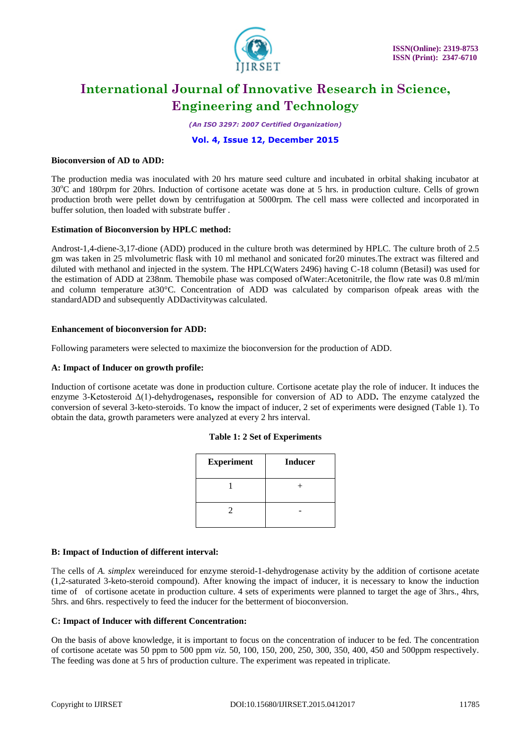

*(An ISO 3297: 2007 Certified Organization)*

### **Vol. 4, Issue 12, December 2015**

#### **Bioconversion of AD to ADD:**

The production media was inoculated with 20 hrs mature seed culture and incubated in orbital shaking incubator at 30<sup>o</sup>C and 180rpm for 20hrs. Induction of cortisone acetate was done at 5 hrs. in production culture. Cells of grown production broth were pellet down by centrifugation at 5000rpm. The cell mass were collected and incorporated in buffer solution, then loaded with substrate buffer .

#### **Estimation of Bioconversion by HPLC method:**

Androst-1,4-diene-3,17-dione (ADD) produced in the culture broth was determined by HPLC. The culture broth of 2.5 gm was taken in 25 mlvolumetric flask with 10 ml methanol and sonicated for20 minutes.The extract was filtered and diluted with methanol and injected in the system. The HPLC(Waters 2496) having C-18 column (Betasil) was used for the estimation of ADD at 238nm. Themobile phase was composed ofWater:Acetonitrile, the flow rate was 0.8 ml/min and column temperature at30°C. Concentration of ADD was calculated by comparison ofpeak areas with the standardADD and subsequently ADDactivitywas calculated.

#### **Enhancement of bioconversion for ADD:**

Following parameters were selected to maximize the bioconversion for the production of ADD.

#### **A: Impact of Inducer on growth profile:**

Induction of cortisone acetate was done in production culture. Cortisone acetate play the role of inducer. It induces the enzyme 3-Ketosteroid Δ(1)-dehydrogenases**,** responsible for conversion of AD to ADD**.** The enzyme catalyzed the conversion of several 3-keto-steroids. To know the impact of inducer, 2 set of experiments were designed (Table 1). To obtain the data, growth parameters were analyzed at every 2 hrs interval.

|  |  |  |  | <b>Table 1: 2 Set of Experiments</b> |
|--|--|--|--|--------------------------------------|
|--|--|--|--|--------------------------------------|

| <b>Experiment</b> | <b>Inducer</b> |
|-------------------|----------------|
|                   |                |
|                   |                |

#### **B: Impact of Induction of different interval:**

The cells of *A. simplex* wereinduced for enzyme steroid-1-dehydrogenase activity by the addition of cortisone acetate (1,2-saturated 3-keto-steroid compound). After knowing the impact of inducer, it is necessary to know the induction time of of cortisone acetate in production culture. 4 sets of experiments were planned to target the age of 3hrs., 4hrs, 5hrs. and 6hrs. respectively to feed the inducer for the betterment of bioconversion.

#### **C: Impact of Inducer with different Concentration:**

On the basis of above knowledge, it is important to focus on the concentration of inducer to be fed. The concentration of cortisone acetate was 50 ppm to 500 ppm *viz.* 50, 100, 150, 200, 250, 300, 350, 400, 450 and 500ppm respectively. The feeding was done at 5 hrs of production culture. The experiment was repeated in triplicate.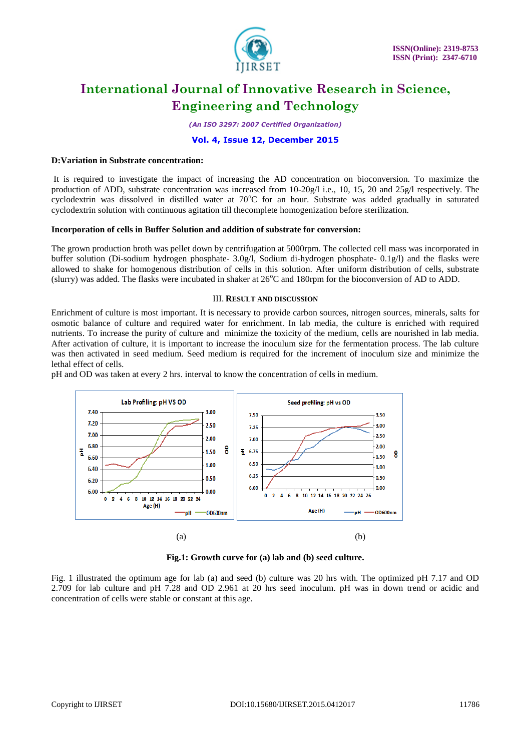

*(An ISO 3297: 2007 Certified Organization)*

#### **Vol. 4, Issue 12, December 2015**

#### **D:Variation in Substrate concentration:**

It is required to investigate the impact of increasing the AD concentration on bioconversion. To maximize the production of ADD, substrate concentration was increased from 10-20g/l i.e., 10, 15, 20 and 25g/l respectively. The cyclodextrin was dissolved in distilled water at 70°C for an hour. Substrate was added gradually in saturated cyclodextrin solution with continuous agitation till thecomplete homogenization before sterilization.

#### **Incorporation of cells in Buffer Solution and addition of substrate for conversion:**

The grown production broth was pellet down by centrifugation at 5000rpm. The collected cell mass was incorporated in buffer solution (Di-sodium hydrogen phosphate- 3.0g/l, Sodium di-hydrogen phosphate- 0.1g/l) and the flasks were allowed to shake for homogenous distribution of cells in this solution. After uniform distribution of cells, substrate (slurry) was added. The flasks were incubated in shaker at  $26^{\circ}$ C and 180rpm for the bioconversion of AD to ADD.

#### III. **RESULT AND DISCUSSION**

Enrichment of culture is most important. It is necessary to provide carbon sources, nitrogen sources, minerals, salts for osmotic balance of culture and required water for enrichment. In lab media, the culture is enriched with required nutrients. To increase the purity of culture and minimize the toxicity of the medium, cells are nourished in lab media. After activation of culture, it is important to increase the inoculum size for the fermentation process. The lab culture was then activated in seed medium. Seed medium is required for the increment of inoculum size and minimize the lethal effect of cells.

pH and OD was taken at every 2 hrs. interval to know the concentration of cells in medium.



**Fig.1: Growth curve for (a) lab and (b) seed culture.**

Fig. 1 illustrated the optimum age for lab (a) and seed (b) culture was 20 hrs with. The optimized pH 7.17 and OD 2.709 for lab culture and pH 7.28 and OD 2.961 at 20 hrs seed inoculum. pH was in down trend or acidic and concentration of cells were stable or constant at this age.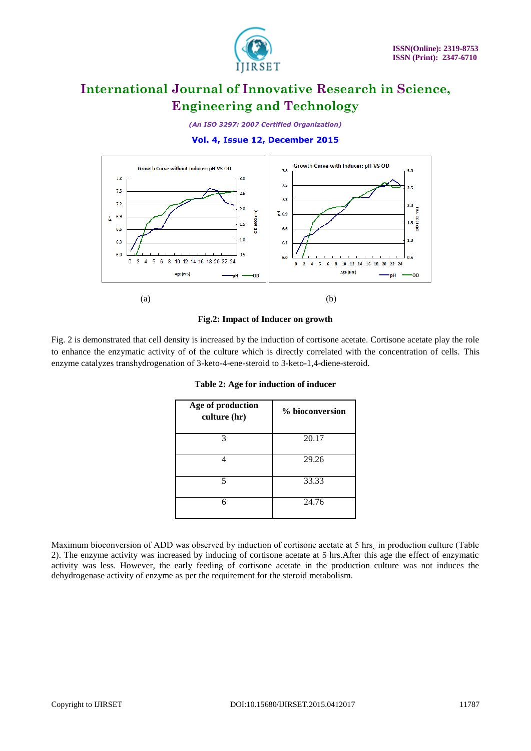

*(An ISO 3297: 2007 Certified Organization)*

### **Vol. 4, Issue 12, December 2015**



#### **Fig.2: Impact of Inducer on growth**

Fig. 2 is demonstrated that cell density is increased by the induction of cortisone acetate. Cortisone acetate play the role to enhance the enzymatic activity of of the culture which is directly correlated with the concentration of cells. This enzyme catalyzes transhydrogenation of 3-keto-4-ene-steroid to 3-keto-1,4-diene-steroid.

| Age of production<br>culture (hr) | % bioconversion |
|-----------------------------------|-----------------|
| 3                                 | 20.17           |
|                                   | 29.26           |
| 5                                 | 33.33           |
|                                   | 24.76           |

**Table 2: Age for induction of inducer**

Maximum bioconversion of ADD was observed by induction of cortisone acetate at 5 hrs in production culture (Table 2). The enzyme activity was increased by inducing of cortisone acetate at 5 hrs.After this age the effect of enzymatic activity was less. However, the early feeding of cortisone acetate in the production culture was not induces the dehydrogenase activity of enzyme as per the requirement for the steroid metabolism.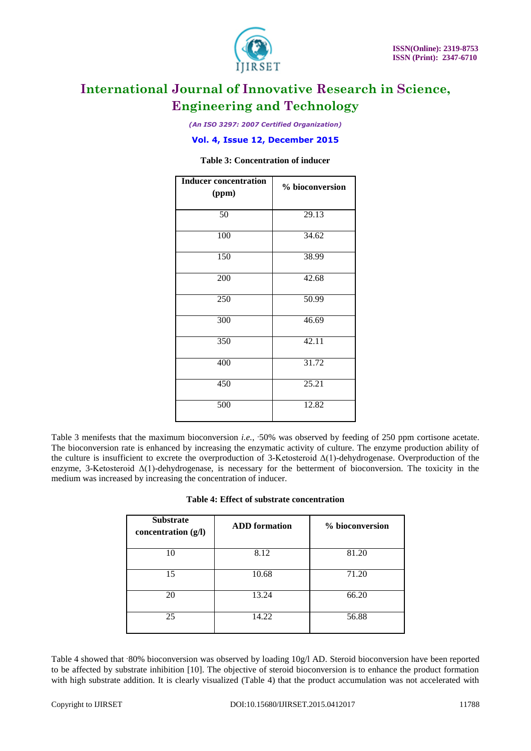

*(An ISO 3297: 2007 Certified Organization)*

**Vol. 4, Issue 12, December 2015**

### **Table 3: Concentration of inducer**

| <b>Inducer concentration</b><br>(ppm) | % bioconversion |
|---------------------------------------|-----------------|
| $\overline{50}$                       | 29.13           |
| 100                                   | 34.62           |
| 150                                   | 38.99           |
| 200                                   | 42.68           |
| 250                                   | 50.99           |
| 300                                   | 46.69           |
| 350                                   | 42.11           |
| 400                                   | 31.72           |
| 450                                   | 25.21           |
| 500                                   | 12.82           |

Table 3 menifests that the maximum bioconversion *i.e.*, -50% was observed by feeding of 250 ppm cortisone acetate. The bioconversion rate is enhanced by increasing the enzymatic activity of culture. The enzyme production ability of the culture is insufficient to excrete the overproduction of 3-Ketosteroid  $\Delta(1)$ -dehydrogenase. Overproduction of the enzyme, 3-Ketosteroid  $\Delta(1)$ -dehydrogenase, is necessary for the betterment of bioconversion. The toxicity in the medium was increased by increasing the concentration of inducer.

| Table 4: Effect of substrate concentration |  |  |
|--------------------------------------------|--|--|
|--------------------------------------------|--|--|

| <b>Substrate</b><br>concentration (g/l) | <b>ADD</b> formation | % bioconversion |
|-----------------------------------------|----------------------|-----------------|
| 10                                      | 8.12                 | 81.20           |
| 15                                      | 10.68                | 71.20           |
| 20                                      | 13.24                | 66.20           |
| 25                                      | 14.22                | 56.88           |

Table 4 showed that ~80% bioconversion was observed by loading 10g/l AD. Steroid bioconversion have been reported to be affected by substrate inhibition [10]. The objective of steroid bioconversion is to enhance the product formation with high substrate addition. It is clearly visualized (Table 4) that the product accumulation was not accelerated with